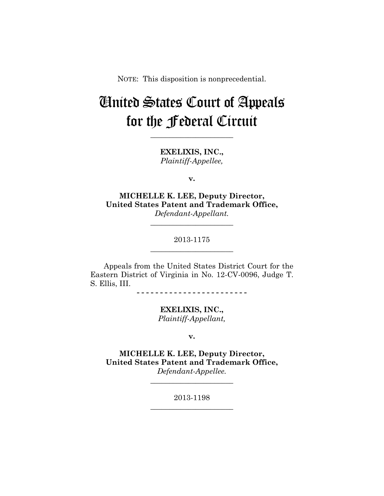NOTE: This disposition is nonprecedential.

## United States Court of Appeals for the Federal Circuit

**\_\_\_\_\_\_\_\_\_\_\_\_\_\_\_\_\_\_\_\_\_\_** 

**EXELIXIS, INC.,** *Plaintiff-Appellee,*

**v.**

**MICHELLE K. LEE, Deputy Director, United States Patent and Trademark Office,** *Defendant-Appellant.*

> 2013-1175 **\_\_\_\_\_\_\_\_\_\_\_\_\_\_\_\_\_\_\_\_\_\_**

> **\_\_\_\_\_\_\_\_\_\_\_\_\_\_\_\_\_\_\_\_\_\_**

Appeals from the United States District Court for the Eastern District of Virginia in No. 12-CV-0096, Judge T. S. Ellis, III.

**- - - - - - - - - - - - - - - - - - - - - - - -** 

**EXELIXIS, INC.,** *Plaintiff-Appellant,*

**v.**

**MICHELLE K. LEE, Deputy Director, United States Patent and Trademark Office,** *Defendant-Appellee.*

**\_\_\_\_\_\_\_\_\_\_\_\_\_\_\_\_\_\_\_\_\_\_** 

2013-1198 **\_\_\_\_\_\_\_\_\_\_\_\_\_\_\_\_\_\_\_\_\_\_**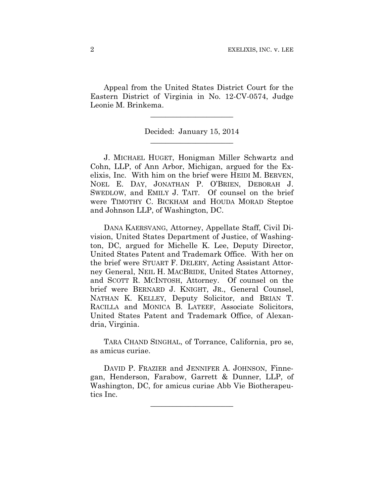Appeal from the United States District Court for the Eastern District of Virginia in No. 12-CV-0574, Judge Leonie M. Brinkema.

> Decided: January 15, 2014 **\_\_\_\_\_\_\_\_\_\_\_\_\_\_\_\_\_\_\_\_\_\_**

**\_\_\_\_\_\_\_\_\_\_\_\_\_\_\_\_\_\_\_\_\_\_** 

J. MICHAEL HUGET, Honigman Miller Schwartz and Cohn, LLP, of Ann Arbor, Michigan, argued for the Exelixis, Inc. With him on the brief were HEIDI M. BERVEN, NOEL E. DAY, JONATHAN P. O'BRIEN, DEBORAH J. SWEDLOW, and EMILY J. TAIT. Of counsel on the brief were TIMOTHY C. BICKHAM and HOUDA MORAD Steptoe and Johnson LLP, of Washington, DC.

DANA KAERSVANG, Attorney, Appellate Staff, Civil Division, United States Department of Justice, of Washington, DC, argued for Michelle K. Lee, Deputy Director, United States Patent and Trademark Office. With her on the brief were STUART F. DELERY, Acting Assistant Attorney General, NEIL H. MACBRIDE, United States Attorney, and SCOTT R. MCINTOSH, Attorney. Of counsel on the brief were BERNARD J. KNIGHT, JR., General Counsel, NATHAN K. KELLEY, Deputy Solicitor, and BRIAN T. RACILLA and MONICA B. LATEEF, Associate Solicitors, United States Patent and Trademark Office, of Alexandria, Virginia.

TARA CHAND SINGHAL, of Torrance, California, pro se, as amicus curiae.

DAVID P. FRAZIER and JENNIFER A. JOHNSON, Finnegan, Henderson, Farabow, Garrett & Dunner, LLP, of Washington, DC, for amicus curiae Abb Vie Biotherapeutics Inc.

**\_\_\_\_\_\_\_\_\_\_\_\_\_\_\_\_\_\_\_\_\_\_**